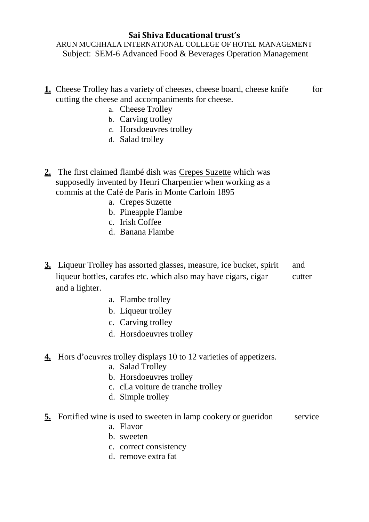## **Sai Shiva Educational trust's**

ARUN MUCHHALA INTERNATIONAL COLLEGE OF HOTEL MANAGEMENT Subject: SEM-6 Advanced Food & Beverages Operation Management

- **1.** Cheese Trolley has a variety of cheeses, cheese board, cheese knife for cutting the cheese and accompaniments for cheese.
	- a. Cheese Trolley
	- b. Carving trolley
	- c. Horsdoeuvres trolley
	- d. Salad trolley
- **2.** The first claimed flambé dish was Crepes Suzette which was supposedly invented by Henri Charpentier when working as a commis at the Café de Paris in Monte Carloin 1895
	- a. Crepes Suzette
	- b. Pineapple Flambe
	- c. Irish Coffee
	- d. Banana Flambe
- **3.** Liqueur Trolley has assorted glasses, measure, ice bucket, spirit and liqueur bottles, carafes etc. which also may have cigars, cigar cutter and a lighter.
	- a. Flambe trolley
	- b. Liqueur trolley
	- c. Carving trolley
	- d. Horsdoeuvres trolley
- **4.** Hors d'oeuvres trolley displays 10 to 12 varieties of appetizers.
	- a. Salad Trolley
	- b. Horsdoeuvres trolley
	- c. cLa voiture de tranche trolley
	- d. Simple trolley
- **5.** Fortified wine is used to sweeten in lamp cookery or gueridon service
	- a. Flavor
	- b. sweeten
	- c. correct consistency
	- d. remove extra fat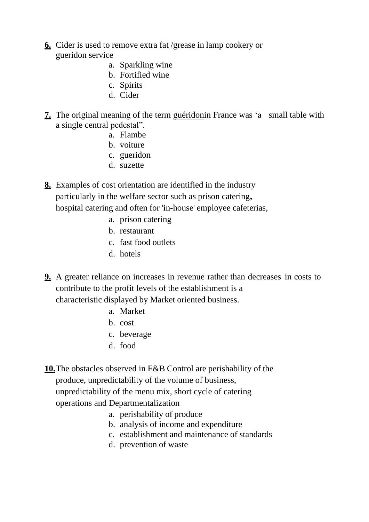- **6.** Cider is used to remove extra fat /grease in lamp cookery or gueridon service
	- a. Sparkling wine
	- b. Fortified wine
	- c. Spirits
	- d. Cider
- **7.** The original meaning of the term guéridonin France was 'a small table with a single central pedestal".
	- a. Flambe
	- b. voiture
	- c. gueridon
	- d. suzette

**8.** Examples of cost orientation are identified in the industry particularly in the welfare sector such as prison catering**,** hospital catering and often for 'in-house' employee cafeterias,

- a. prison catering
- b. restaurant
- c. fast food outlets
- d. hotels
- **9.** A greater reliance on increases in revenue rather than decreases in costs to contribute to the profit levels of the establishment is a characteristic displayed by Market oriented business.
	- a. Market
	- b. cost
	- c. beverage
	- d. food

**10.**The obstacles observed in F&B Control are perishability of the produce, unpredictability of the volume of business, unpredictability of the menu mix, short cycle of catering operations and Departmentalization

- a. perishability of produce
- b. analysis of income and expenditure
- c. establishment and maintenance of standards
- d. prevention of waste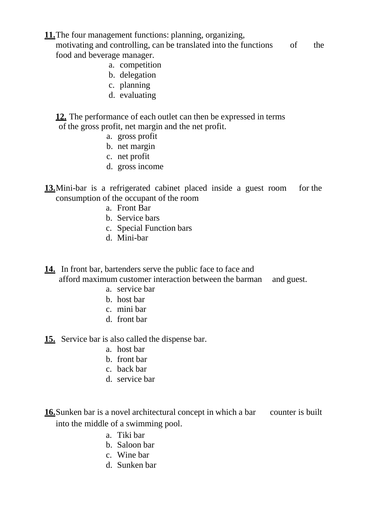**11.**The four management functions: planning, organizing, motivating and controlling, can be translated into the functions of the food and beverage manager.

- a. competition
- b. delegation
- c. planning
- d. evaluating

**12.** The performance of each outlet can then be expressed in terms of the gross profit, net margin and the net profit.

- a. gross profit
- b. net margin
- c. net profit
- d. gross income
- **13.**Mini-bar is a refrigerated cabinet placed inside a guest room for the consumption of the occupant of the room
	- a. Front Bar
	- b. Service bars
	- c. Special Function bars
	- d. Mini-bar

**14.** In front bar, bartenders serve the public face to face and

afford maximum customer interaction between the barman and guest.

- a. service bar
- b. host bar
- c. mini bar
- d. front bar

**15.** Service bar is also called the dispense bar.

- a. host bar
- b. front bar
- c. back bar
- d. service bar

**16.** Sunken bar is a novel architectural concept in which a bar counter is built into the middle of a swimming pool.

- a. Tiki bar
- b. Saloon bar
- c. Wine bar
- d. Sunken bar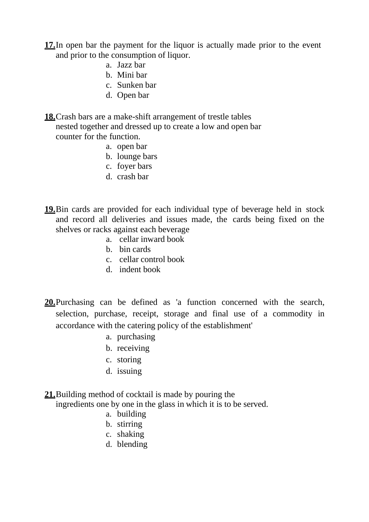- **17.**In open bar the payment for the liquor is actually made prior to the event and prior to the consumption of liquor.
	- a. Jazz bar
	- b. Mini bar
	- c. Sunken bar
	- d. Open bar
- **18.**Crash bars are a make-shift arrangement of trestle tables nested together and dressed up to create a low and open bar counter for the function.
	- a. open bar
	- b. lounge bars
	- c. foyer bars
	- d. crash bar
- **19.**Bin cards are provided for each individual type of beverage held in stock and record all deliveries and issues made, the cards being fixed on the shelves or racks against each beverage
	- a. cellar inward book
	- b. bin cards
	- c. cellar control book
	- d. indent book
- **20.**Purchasing can be defined as 'a function concerned with the search, selection, purchase, receipt, storage and final use of a commodity in accordance with the catering policy of the establishment'
	- a. purchasing
	- b. receiving
	- c. storing
	- d. issuing

**21.**Building method of cocktail is made by pouring the

ingredients one by one in the glass in which it is to be served.

- a. building
- b. stirring
- c. shaking
- d. blending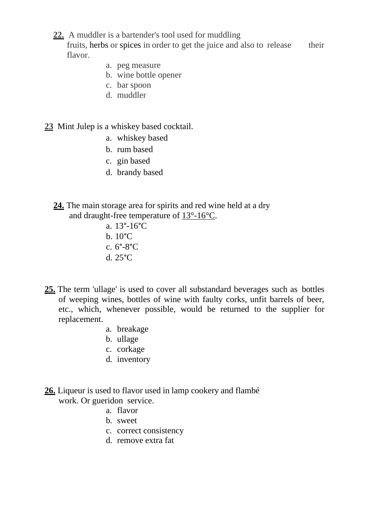**22.** A muddler is a bartender's tool used for muddling

fruits, herbs or spices in order to get the juice and also to release their flavor.

- a. peg measure
- b. wine bottle opener
- c. bar spoon
- d. muddler
- **23** Mint Julep is a whiskey based cocktail.
	- a. whiskey based
	- b. rum based
	- c. gin based
	- d. brandy based
	- **24.** The main storage area for spirits and red wine held at a dry and draught-free temperature of 13°-16°C.
		- a. 13°-16°C
		- b. 10°C
		- c. 6°-8°C
		- d. 25°C
- **25.** The term 'ullage' is used to cover all substandard beverages such as bottles of weeping wines, bottles of wine with faulty corks, unfit barrels of beer, etc., which, whenever possible, would be returned to the supplier for replacement.
	- a. breakage
	- b. ullage
	- c. corkage
	- d. inventory
- **26.** Liqueur is used to flavor used in lamp cookery and flambé work. Or gueridon service.
	- a. flavor
	- b. sweet
	- c. correct consistency
	- d. remove extra fat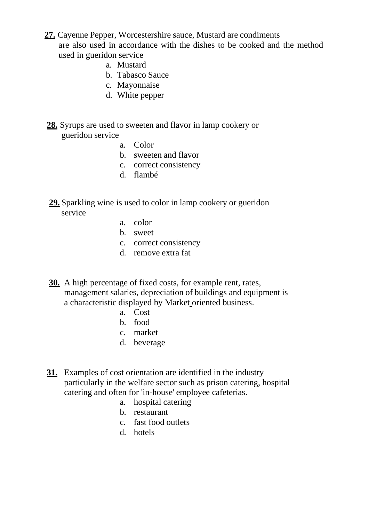- **27.** Cayenne Pepper, Worcestershire sauce, Mustard are condiments are also used in accordance with the dishes to be cooked and the method used in gueridon service
	- a. Mustard
	- b. Tabasco Sauce
	- c. Mayonnaise
	- d. White pepper
- **28.** Syrups are used to sweeten and flavor in lamp cookery or gueridon service
	- a. Color
	- b. sweeten and flavor
	- c. correct consistency
	- d. flambé
- **29.** Sparkling wine is used to color in lamp cookery or gueridon service
	- a. color
	- b. sweet
	- c. correct consistency
	- d. remove extra fat
- **30.** A high percentage of fixed costs, for example rent, rates, management salaries, depreciation of buildings and equipment is a characteristic displayed by Market oriented business.
	- a. Cost
	- b. food
	- c. market
	- d. beverage
- **31.** Examples of cost orientation are identified in the industry particularly in the welfare sector such as prison catering, hospital catering and often for 'in-house' employee cafeterias.
	- a. hospital catering
	- b. restaurant
	- c. fast food outlets
	- d. hotels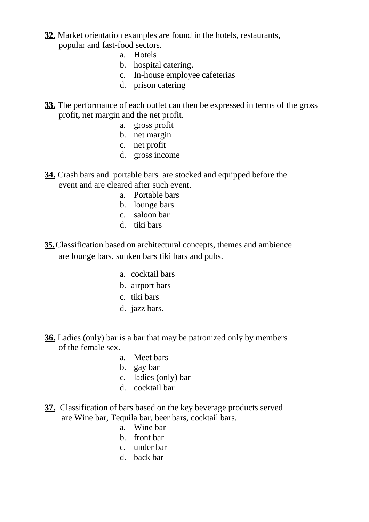- **32.** Market orientation examples are found in the hotels, restaurants, popular and fast-food sectors.
	- a. Hotels
	- b. hospital catering.
	- c. In-house employee cafeterias
	- d. prison catering
- **33.** The performance of each outlet can then be expressed in terms of the gross profit**,** net margin and the net profit.
	- a. gross profit
	- b. net margin
	- c. net profit
	- d. gross income
- **34.** Crash bars and portable bars are stocked and equipped before the event and are cleared after such event.
	- a. Portable bars
	- b. lounge bars
	- c. saloon bar
	- d. tiki bars
- **35.**Classification based on architectural concepts, themes and ambience are lounge bars, sunken bars tiki bars and pubs.
	- a. cocktail bars
	- b. airport bars
	- c. tiki bars
	- d. jazz bars.
- **36.** Ladies (only) bar is a bar that may be patronized only by members of the female sex.
	- a. Meet bars
	- b. gay bar
	- c. ladies (only) bar
	- d. cocktail bar
- **37.** Classification of bars based on the key beverage products served are Wine bar, Tequila bar, beer bars, cocktail bars.
	- a. Wine bar
	- b. front bar
	- c. under bar
	- d. back bar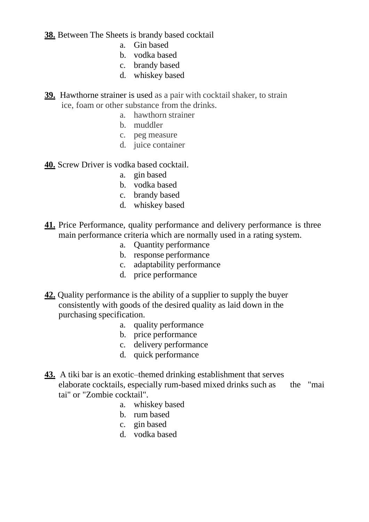**38.** Between The Sheets is brandy based cocktail

- a. Gin based
- b. vodka based
- c. brandy based
- d. whiskey based
- **39.** Hawthorne strainer is used as a pair with cocktail shaker, to strain ice, foam or other substance from the drinks.
	- a. hawthorn strainer
	- b. muddler
	- c. peg measure
	- d. juice container

**40.** Screw Driver is vodka based cocktail.

- a. gin based
- b. vodka based
- c. brandy based
- d. whiskey based
- **41.** Price Performance, quality performance and delivery performance is three main performance criteria which are normally used in a rating system.
	- a. Quantity performance
	- b. response performance
	- c. adaptability performance
	- d. price performance
- **42.** Quality performance is the ability of a supplier to supply the buyer consistently with goods of the desired quality as laid down in the purchasing specification.
	- a. quality performance
	- b. price performance
	- c. delivery performance
	- d. quick performance
- **43.** A tiki bar is an exotic–themed drinking establishment that serves elaborate cocktails, especially [rum-based](http://en.wikipedia.org/wiki/Boat_drinks) mixed drinks such as the ["mai](http://en.wikipedia.org/wiki/Mai_tai) [tai"](http://en.wikipedia.org/wiki/Mai_tai) or "Zombie [cocktail"](http://en.wikipedia.org/wiki/Zombie_cocktail).
	- a. whiskey based
	- b. rum based
	- c. gin based
	- d. vodka based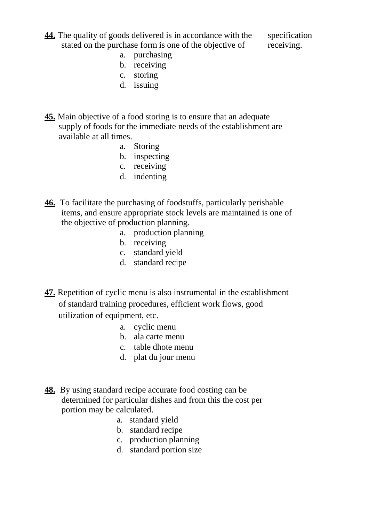**44.** The quality of goods delivered is in accordance with the specification stated on the purchase form is one of the objective of receiving.

- a. purchasing
- b. receiving
- c. storing
- d. issuing
- **45.** Main objective of a food storing is to ensure that an adequate supply of foods for the immediate needs of the establishment are available at all times.
	- a. Storing
	- b. inspecting
	- c. receiving
	- d. indenting
- **46.** To facilitate the purchasing of foodstuffs, particularly perishable items, and ensure appropriate stock levels are maintained is one of the objective of production planning.
	- a. production planning
	- b. receiving
	- c. standard yield
	- d. standard recipe
- **47.** Repetition of cyclic menu is also instrumental in the establishment of standard training procedures, efficient work flows, good utilization of equipment, etc.
	- a. cyclic menu
	- b. ala carte menu
	- c. table dhote menu
	- d. plat du jour menu
- **48.** By using standard recipe accurate food costing can be determined for particular dishes and from this the cost per portion may be calculated.
	- a. standard yield
	- b. standard recipe
	- c. production planning
	- d. standard portion size